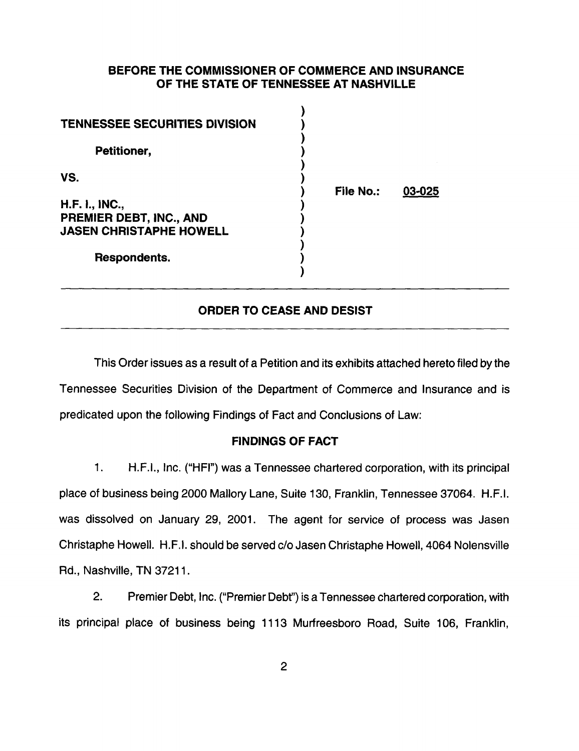# BEFORE THE COMMISSIONER OF COMMERCE AND INSURANCE OF THE STATE OF TENNESSEE AT NASHVILLE

| <b>TENNESSEE SECURITIES DIVISION</b><br>Petitioner,                  |           |        |
|----------------------------------------------------------------------|-----------|--------|
| VS.                                                                  | File No.: | 03-025 |
| H.F. I., INC.,<br>PREMIER DEBT, INC., AND<br>JASEN CHRISTAPHE HOWELL |           |        |
| Respondents.                                                         |           |        |

#### ORDER TO CEASE AND DESIST

This Order issues as a result of a Petition and its exhibits attached hereto filed by the Tennessee Securities Division of the Department of Commerce and Insurance and is predicated upon the following Findings of Fact and Conclusions of Law:

# FINDINGS OF FACT

1. H.F.I., Inc. ("HFI") was a Tennessee chartered corporation, with its principal place of business being 2000 Mallory Lane, Suite 130, Franklin, Tennessee 37064. H.F.I. was dissolved on January 29, 2001. The agent for service of process was Jasen Christaphe Howell. H.F.I. should be served c/o Jasen Christaphe Howell, 4064 Nolensville Rd., Nashville, TN 37211.

2. Premier Debt, Inc. ("Premier Debf') is a Tennessee chartered corporation, with its principal place of business being 1113 Murfreesboro Road, Suite 106, Franklin,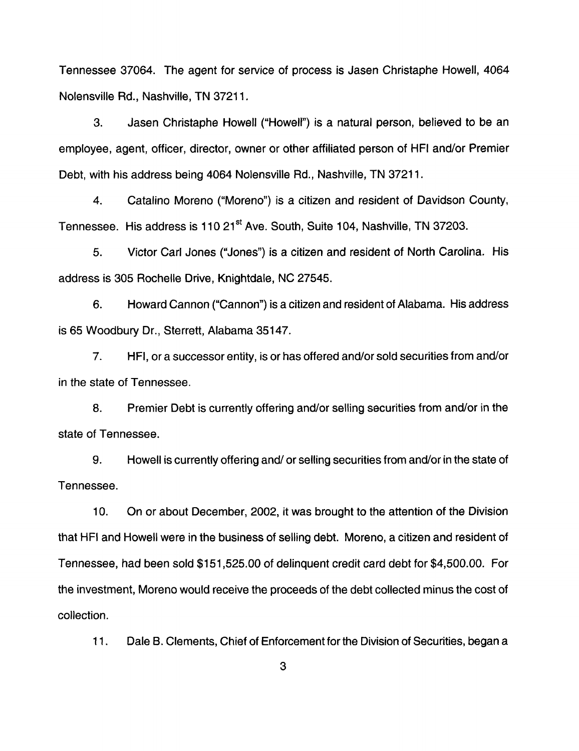Tennessee 37064. The agent for service of process is Jasen Christaphe Howell, 4064 Nolensville Rd., Nashville, TN 37211.

3. Jasen Christaphe Howell ("Howell") is a natural person, believed to be an employee, agent, officer, director, owner or other affiliated person of HFI and/or Premier Debt, with his address being 4064 Nolensville Rd., Nashville, TN 37211.

4. Catalino Moreno ("Moreno") is a citizen and resident of Davidson County, Tennessee. His address is 110 21<sup>st</sup> Ave. South, Suite 104, Nashville, TN 37203.

5. Victor Carl Jones ("Jones") is a citizen and resident of North Carolina. His address is 305 Rochelle Drive, Knightdale, NC 27545.

6. Howard Cannon ("Cannon") is a citizen and resident of Alabama. His address is 65 Woodbury Dr., Sterrett, Alabama 35147.

7. HFI, or a successor entity, is or has offered and/or sold securities from and/or in the state of Tennessee.

8. Premier Debt is currently offering and/or selling securities from and/or in the state of Tennessee.

9. Howell is currently offering and/ or selling securities from and/or in the state of Tennessee.

10. On or about December, 2002, it was brought to the attention of the Division that HFI and Howell were in the business of selling debt. Moreno, a citizen and resident of Tennessee, had been sold \$151,525.00 of delinquent credit card debt for \$4,500.00. For the investment, Moreno would receive the proceeds of the debt collected minus the cost of collection.

11. Dale B. Clements, Chief of Enforcement for the Division of Securities, began a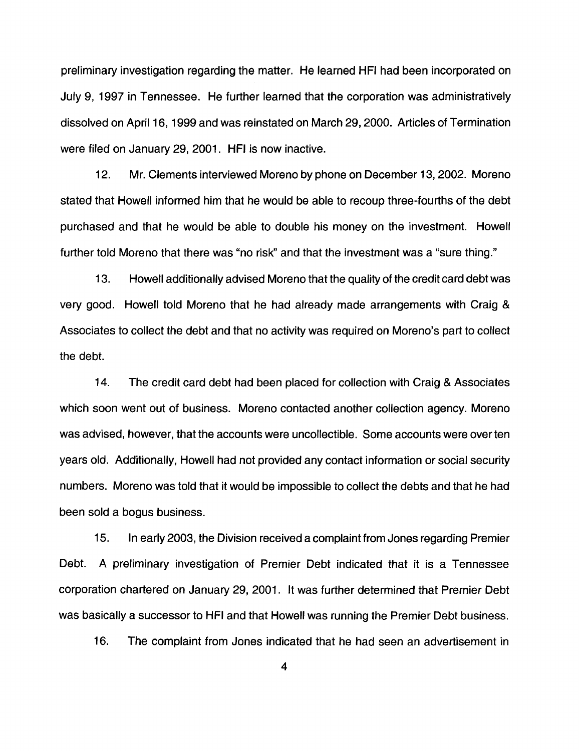preliminary investigation regarding the matter. He learned HFI had been incorporated on July 9, 1997 in Tennessee. He further learned that the corporation was administratively dissolved on April16, 1999 and was reinstated on March 29, 2000. Articles of Termination were filed on January 29, 2001. HFI is now inactive.

12. Mr. Clements interviewed Moreno by phone on December 13, 2002. Moreno stated that Howell informed him that he would be able to recoup three-fourths of the debt purchased and that he would be able to double his money on the investment. Howell further told Moreno that there was "no risk" and that the investment was a "sure thing."

13. Howell additionally advised Moreno that the quality of the credit card debt was very good. Howell told Moreno that he had already made arrangements with Craig & Associates to collect the debt and that no activity was required on Moreno's part to collect the debt.

14. The credit card debt had been placed for collection with Craig & Associates which soon went out of business. Moreno contacted another collection agency. Moreno was advised, however, that the accounts were uncollectible. Some accounts were over ten years old. Additionally, Howell had not provided any contact information or social security numbers. Moreno was told that it would be impossible to collect the debts and that he had been sold a bogus business.

15. In early 2003, the Division received a complaint from Jones regarding Premier Debt. A preliminary investigation of Premier Debt indicated that it is a Tennessee corporation chartered on January 29, 2001. It was further determined that Premier Debt was basically a successor to HFI and that Howell was running the Premier Debt business.

16. The complaint from Jones indicated that he had seen an advertisement in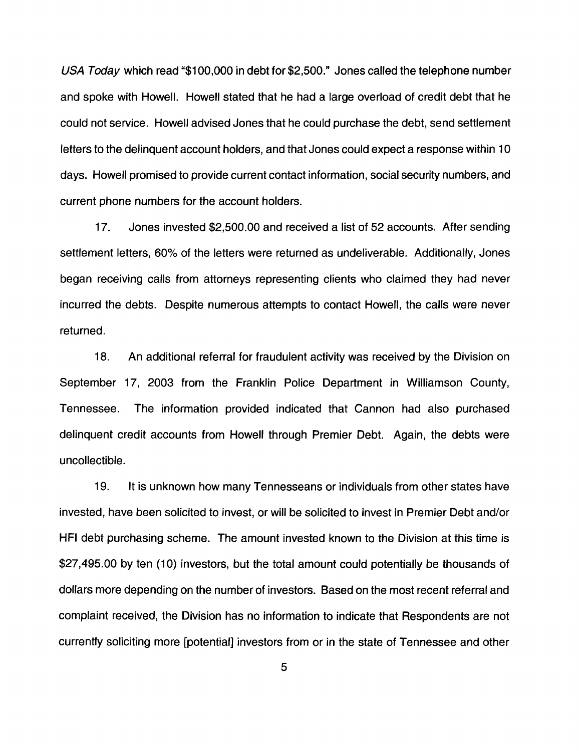USA Today which read "\$1 00,000 in debt for \$2,500." Jones called the telephone number and spoke with Howell. Howell stated that he had a large overload of credit debt that he could not service. Howell advised Jones that he could purchase the debt, send settlement letters to the delinguent account holders, and that Jones could expect a response within 10 days. Howell promised to provide current contact information, social security numbers, and current phone numbers for the account holders.

17. Jones invested \$2,500.00 and received a list of 52 accounts. After sending settlement letters, 60% of the letters were returned as undeliverable. Additionally, Jones began receiving calls from attorneys representing clients who claimed they had never incurred the debts. Despite numerous attempts to contact Howell, the calls were never returned.

18. An additional referral for fraudulent activity was received by the Division on September 17, 2003 from the Franklin Police Department in Williamson County, Tennessee. The information provided indicated that Cannon had also purchased delinquent credit accounts from Howell through Premier Debt. Again, the debts were uncollectible.

19. It is unknown how many Tennesseans or individuals from other states have invested, have been solicited to invest, or will be solicited to invest in Premier Debt and/or HFI debt purchasing scheme. The amount invested known to the Division at this time is \$27,495.00 by ten (10) investors, but the total amount could potentially be thousands of dollars more depending on the number of investors. Based on the most recent referral and complaint received, the Division has no information to indicate that Respondents are not currently soliciting more [potential] investors from or in the state of Tennessee and other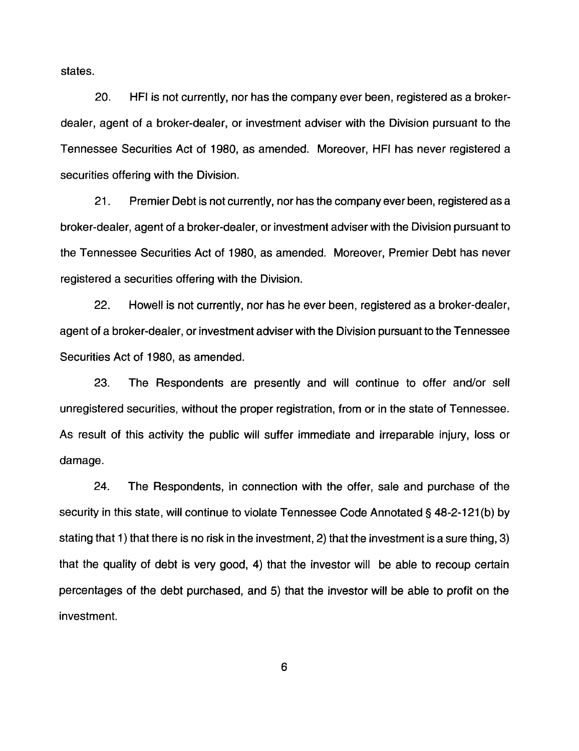states.

20. HFI is not currently, nor has the company ever been, registered as a brokerdealer, agent of a broker-dealer, or investment adviser with the Division pursuant to the Tennessee Securities Act of 1980, as amended. Moreover, HFI has never registered a securities offering with the Division.

21. Premier Debt is not currently, nor has the company ever been, registered as a broker-dealer, agent of a broker-dealer, or investment adviser with the Division pursuant to the Tennessee Securities Act of 1980, as amended. Moreover, Premier Debt has never registered a securities offering with the Division.

22. Howell is not currently, nor has he ever been, registered as a broker-dealer, agent of a broker-dealer, or investment adviser with the Division pursuant to the Tennessee Securities Act of 1980, as amended.

23. The Respondents are presently and will continue to offer and/or sell unregistered securities, without the proper registration, from or in the state of Tennessee. As result of this activity the public will suffer immediate and irreparable injury, loss or damage.

24. The Respondents, in connection with the offer, sale and purchase of the security in this state, will continue to violate Tennessee Code Annotated§ 48-2-121(b) by stating that 1) that there is no risk in the investment, 2) that the investment is a sure thing, 3) that the quality of debt is very good, 4) that the investor will be able to recoup certain percentages of the debt purchased, and 5) that the investor will be able to profit on the investment.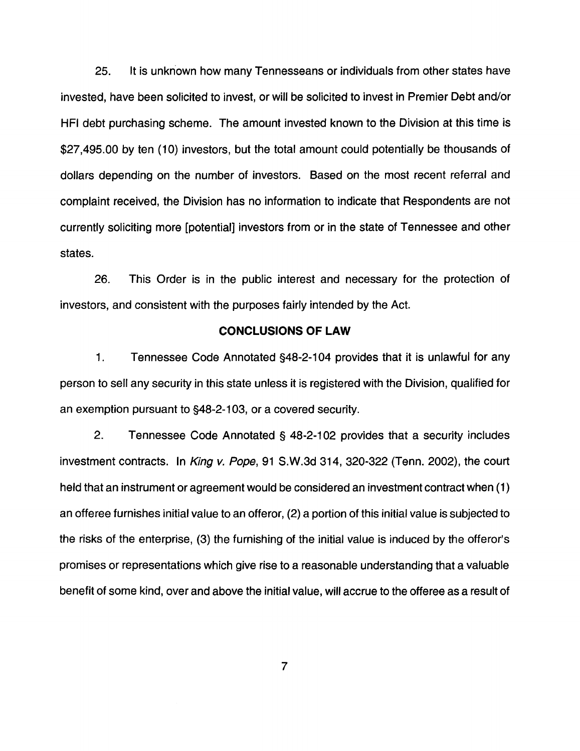25. It is unknown how many Tennesseans or individuals from other states have invested, have been solicited to invest, or will be solicited to invest in Premier Debt and/or HFI debt purchasing scheme. The amount invested known to the Division at this time is \$27,495.00 by ten (10) investors, but the total amount could potentially be thousands of dollars depending on the number of investors. Based on the most recent referral and complaint received, the Division has no information to indicate that Respondents are not currently soliciting more [potential] investors from or in the state of Tennessee and other states.

26. This Order is in the public interest and necessary for the protection of investors, and consistent with the purposes fairly intended by the Act.

#### **CONCLUSIONS OF LAW**

1. Tennessee Code Annotated §48-2-1 04 provides that it is unlawful for any person to sell any security in this state unless it is registered with the Division, qualified for an exemption pursuant to §48-2-1 03, or a covered security.

2. Tennessee Code Annotated § 48-2-102 provides that a security includes investment contracts. In King v. Pope, 91 S.W.3d 314, 320-322 (Tenn. 2002), the court held that an instrument or agreement would be considered an investment contract when (1) an offeree furnishes initial value to an offeror, (2) a portion of this initial value is subjected to the risks of the enterprise, (3) the furnishing of the initial value is induced by the offeror's promises or representations which give rise to a reasonable understanding that a valuable benefit of some kind, over and above the initial value, will accrue to the offeree as a result of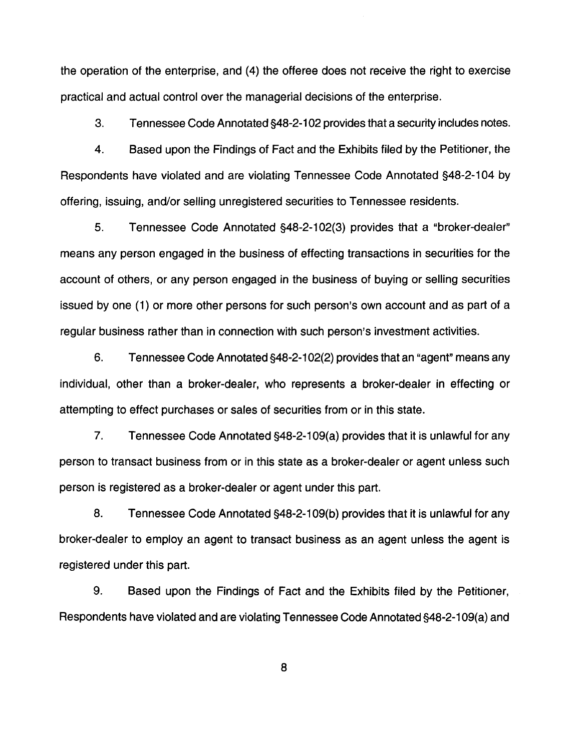the operation of the enterprise, and (4) the offeree does not receive the right to exercise practical and actual control over the managerial decisions of the enterprise.

3. Tennessee Code Annotated §48-2-1 02 provides that a security includes notes.

4. Based upon the Findings of Fact and the Exhibits filed by the Petitioner, the Respondents have violated and are violating Tennessee Code Annotated §48-2-104 by offering, issuing, and/or selling unregistered securities to Tennessee residents.

5. Tennessee Code Annotated §48-2-102(3) provides that a "broker-dealer" means any person engaged in the business of effecting transactions in securities for the account of others, or any person engaged in the business of buying or selling securities issued by one (1) or more other persons for such person's own account and as part of a regular business rather than in connection with such person's investment activities.

6. Tennessee Code Annotated §48-2-1 02(2) provides that an "agent" means any individual, other than a broker-dealer, who represents a broker-dealer in effecting or attempting to effect purchases or sales of securities from or in this state.

7. Tennessee Code Annotated §48-2-1 09(a) provides that it is unlawful for any person to transact business from or in this state as a broker-dealer or agent unless such person is registered as a broker-dealer or agent under this part.

8. Tennessee Code Annotated §48-2-109(b) provides that it is unlawful for any broker-dealer to employ an agent to transact business as an agent unless the agent is registered under this part.

9. Based upon the Findings of Fact and the Exhibits filed by the Petitioner, Respondents have violated and are violating Tennessee Code Annotated §48-2-1 09(a) and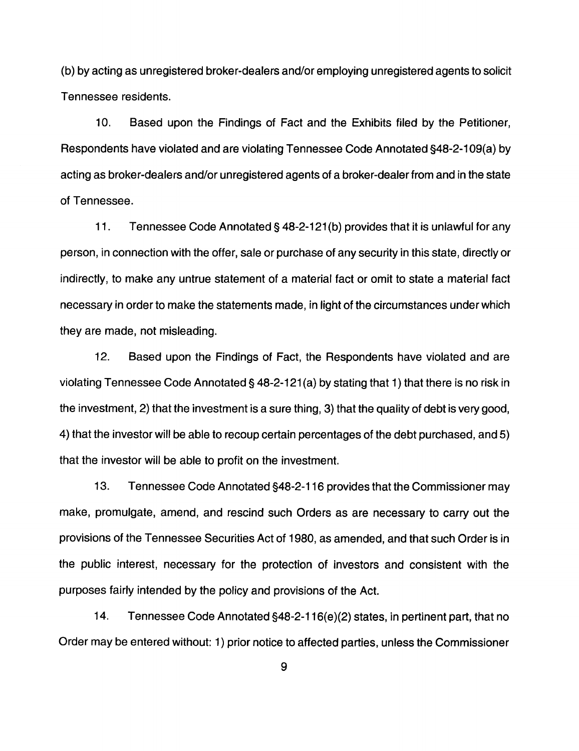(b) by acting as unregistered broker-dealers and/or employing unregistered agents to solicit Tennessee residents.

10. Based upon the Findings of Fact and the Exhibits filed by the Petitioner, Respondents have violated and are violating Tennessee Code Annotated §48-2-109(a) by acting as broker-dealers and/or unregistered agents of a broker-dealer from and in the state of Tennessee.

11. Tennessee Code Annotated§ 48-2-121(b) provides that it is unlawful for any person, in connection with the offer, sale or purchase of any security in this state, directly or indirectly, to make any untrue statement of a material fact or omit to state a material fact necessary in order to make the statements made, in light of the circumstances under which they are made, not misleading.

12. Based upon the Findings of Fact, the Respondents have violated and are violating Tennessee Code Annotated§ 48-2-121 (a) by stating that 1) that there is no risk in the investment, 2) that the investment is a sure thing, 3) that the quality of debt is very good, 4) that the investor will be able to recoup certain percentages of the debt purchased, and 5) that the investor will be able to profit on the investment.

13. Tennessee Code Annotated §48-2-116 provides that the Commissioner may make, promulgate, amend, and rescind such Orders as are necessary to carry out the provisions of the Tennessee Securities Act of 1980, as amended, and that such Order is in the public interest, necessary for the protection of investors and consistent with the purposes fairly intended by the policy and provisions of the Act.

14. Tennessee Code Annotated §48-2-116(e)(2) states, in pertinent part, that no Order may be entered without: 1) prior notice to affected parties, unless the Commissioner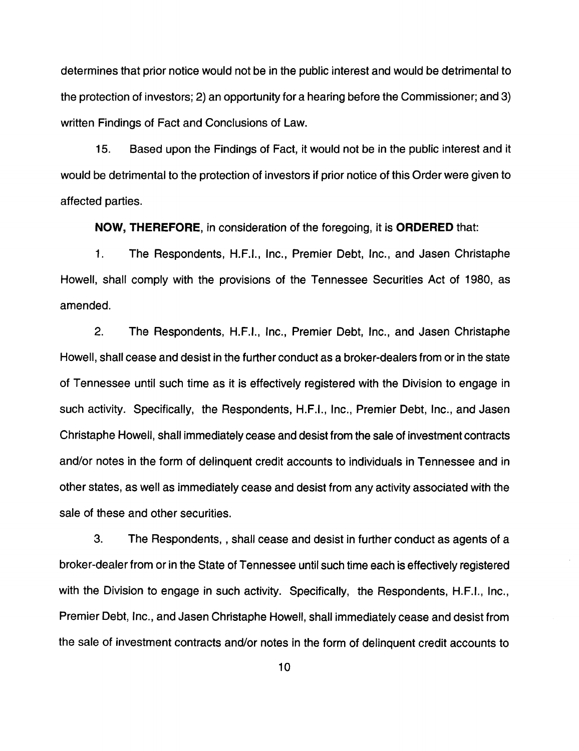determines that prior notice would not be in the public interest and would be detrimental to the protection of investors; 2) an opportunity for a hearing before the Commissioner; and 3) written Findings of Fact and Conclusions of Law.

15. Based upon the Findings of Fact, it would not be in the public interest and it would be detrimental to the protection of investors if prior notice of this Order were given to affected parties.

**NOW, THEREFORE,** in consideration of the foregoing, it is **ORDERED** that:

1. The Respondents, H.F.I., Inc., Premier Debt, Inc., and Jasen Christaphe Howell, shall comply with the provisions of the Tennessee Securities Act of 1980, as amended.

2. The Respondents, H.F.I., Inc., Premier Debt, Inc., and Jasen Christaphe Howell, shall cease and desist in the further conduct as a broker-dealers from or in the state of Tennessee until such time as it is effectively registered with the Division to engage in such activity. Specifically, the Respondents, H.F.I., Inc., Premier Debt, Inc., and Jasen Christaphe Howell, shall immediately cease and desist from the sale of investment contracts and/or notes in the form of delinquent credit accounts to individuals in Tennessee and in other states, as well as immediately cease and desist from any activity associated with the sale of these and other securities.

3. The Respondents, , shall cease and desist in further conduct as agents of a broker-dealer from or in the State of Tennessee until such time each is effectively registered with the Division to engage in such activity. Specifically, the Respondents, H.F.I., Inc., Premier Debt, Inc., and Jasen Christaphe Howell, shall immediately cease and desist from the sale of investment contracts and/or notes in the form of delinquent credit accounts to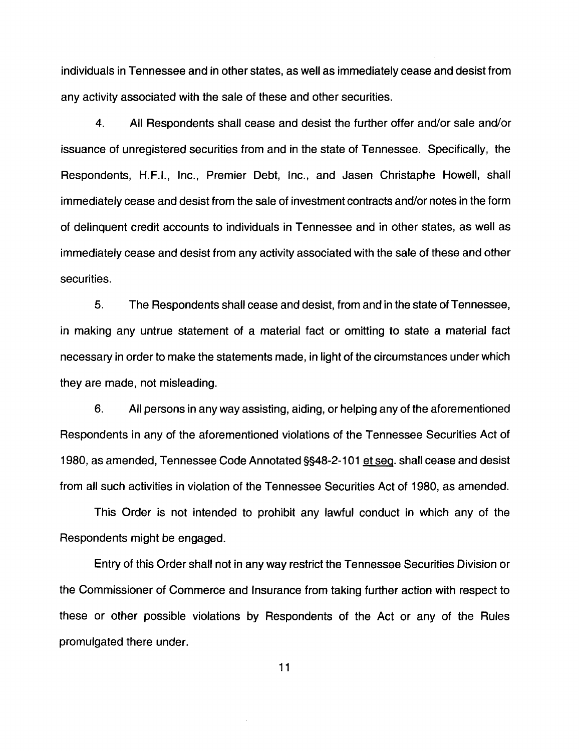individuals in Tennessee and in other states, as well as immediately cease and desist from any activity associated with the sale of these and other securities.

4. All Respondents shall cease and desist the further offer and/or sale and/or issuance of unregistered securities from and in the state of Tennessee. Specifically, the Respondents, H.F.I., Inc., Premier Debt, Inc., and Jasen Christaphe Howell, shall immediately cease and desist from the sale of investment contracts and/or notes in the form of delinquent credit accounts to individuals in Tennessee and in other states, as well as immediately cease and desist from any activity associated with the sale of these and other securities.

5. The Respondents shall cease and desist, from and in the state of Tennessee, in making any untrue statement of a material fact or omitting to state a material fact necessary in order to make the statements made, in light of the circumstances under which they are made, not misleading.

6. All persons in any way assisting, aiding, or helping any of the aforementioned Respondents in any of the aforementioned violations of the Tennessee Securities Act of 1980, as amended, Tennessee Code Annotated §§48-2-1 01 et seq. shall cease and desist from all such activities in violation of the Tennessee Securities Act of 1980, as amended.

This Order is not intended to prohibit any lawful conduct in which any of the Respondents might be engaged.

Entry of this Order shall not in any way restrict the Tennessee Securities Division or the Commissioner of Commerce and Insurance from taking further action with respect to these or other possible violations by Respondents of the Act or any of the Rules promulgated there under.